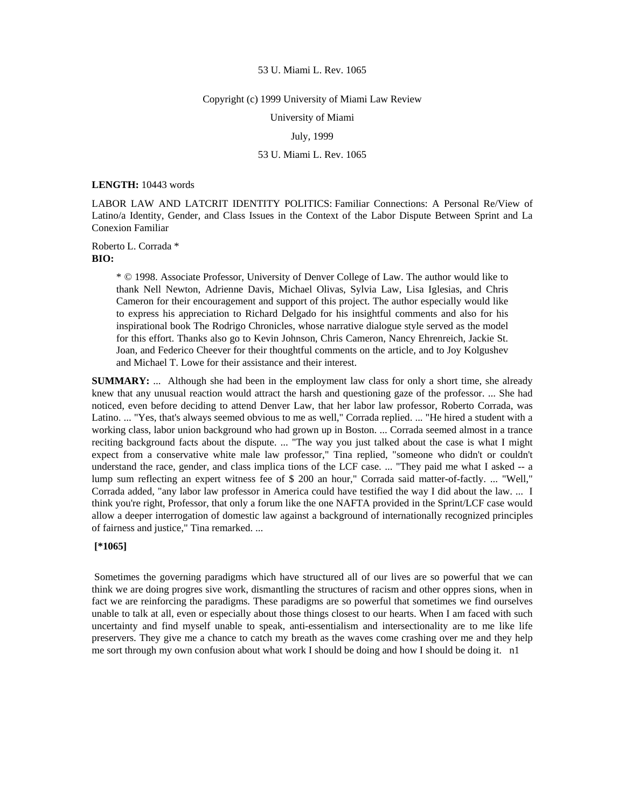#### Copyright (c) 1999 University of Miami Law Review

University of Miami

# July, 1999

# 53 U. Miami L. Rev. 1065

### **LENGTH:** 10443 words

LABOR LAW AND LATCRIT IDENTITY POLITICS: Familiar Connections: A Personal Re/View of Latino/a Identity, Gender, and Class Issues in the Context of the Labor Dispute Between Sprint and La Conexion Familiar

Roberto L. Corrada \* **BIO:** 

> \* © 1998. Associate Professor, University of Denver College of Law. The author would like to thank Nell Newton, Adrienne Davis, Michael Olivas, Sylvia Law, Lisa Iglesias, and Chris Cameron for their encouragement and support of this project. The author especially would like to express his appreciation to Richard Delgado for his insightful comments and also for his inspirational book The Rodrigo Chronicles, whose narrative dialogue style served as the model for this effort. Thanks also go to Kevin Johnson, Chris Cameron, Nancy Ehrenreich, Jackie St. Joan, and Federico Cheever for their thoughtful comments on the article, and to Joy Kolgushev and Michael T. Lowe for their assistance and their interest.

**SUMMARY:** ... Although she had been in the employment law class for only a short time, she already knew that any unusual reaction would attract the harsh and questioning gaze of the professor. ... She had noticed, even before deciding to attend Denver Law, that her labor law professor, Roberto Corrada, was Latino. ... "Yes, that's always seemed obvious to me as well," Corrada replied. ... "He hired a student with a working class, labor union background who had grown up in Boston. ... Corrada seemed almost in a trance reciting background facts about the dispute. ... "The way you just talked about the case is what I might expect from a conservative white male law professor," Tina replied, "someone who didn't or couldn't understand the race, gender, and class implica tions of the LCF case. ... "They paid me what I asked -- a lump sum reflecting an expert witness fee of \$ 200 an hour," Corrada said matter-of-factly. ... "Well," Corrada added, "any labor law professor in America could have testified the way I did about the law. ... I think you're right, Professor, that only a forum like the one NAFTA provided in the Sprint/LCF case would allow a deeper interrogation of domestic law against a background of internationally recognized principles of fairness and justice," Tina remarked. ...

# **[\*1065]**

 Sometimes the governing paradigms which have structured all of our lives are so powerful that we can think we are doing progres sive work, dismantling the structures of racism and other oppres sions, when in fact we are reinforcing the paradigms. These paradigms are so powerful that sometimes we find ourselves unable to talk at all, even or especially about those things closest to our hearts. When I am faced with such uncertainty and find myself unable to speak, anti-essentialism and intersectionality are to me like life preservers. They give me a chance to catch my breath as the waves come crashing over me and they help me sort through my own confusion about what work I should be doing and how I should be doing it. n1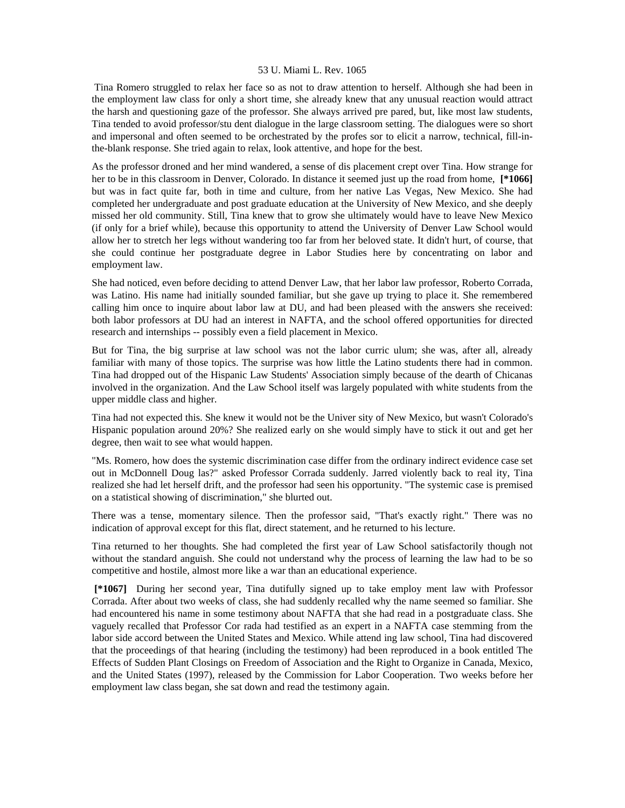Tina Romero struggled to relax her face so as not to draw attention to herself. Although she had been in the employment law class for only a short time, she already knew that any unusual reaction would attract the harsh and questioning gaze of the professor. She always arrived pre pared, but, like most law students, Tina tended to avoid professor/stu dent dialogue in the large classroom setting. The dialogues were so short and impersonal and often seemed to be orchestrated by the profes sor to elicit a narrow, technical, fill-inthe-blank response. She tried again to relax, look attentive, and hope for the best.

As the professor droned and her mind wandered, a sense of dis placement crept over Tina. How strange for her to be in this classroom in Denver, Colorado. In distance it seemed just up the road from home, **[\*1066]**  but was in fact quite far, both in time and culture, from her native Las Vegas, New Mexico. She had completed her undergraduate and post graduate education at the University of New Mexico, and she deeply missed her old community. Still, Tina knew that to grow she ultimately would have to leave New Mexico (if only for a brief while), because this opportunity to attend the University of Denver Law School would allow her to stretch her legs without wandering too far from her beloved state. It didn't hurt, of course, that she could continue her postgraduate degree in Labor Studies here by concentrating on labor and employment law.

She had noticed, even before deciding to attend Denver Law, that her labor law professor, Roberto Corrada, was Latino. His name had initially sounded familiar, but she gave up trying to place it. She remembered calling him once to inquire about labor law at DU, and had been pleased with the answers she received: both labor professors at DU had an interest in NAFTA, and the school offered opportunities for directed research and internships -- possibly even a field placement in Mexico.

But for Tina, the big surprise at law school was not the labor curric ulum; she was, after all, already familiar with many of those topics. The surprise was how little the Latino students there had in common. Tina had dropped out of the Hispanic Law Students' Association simply because of the dearth of Chicanas involved in the organization. And the Law School itself was largely populated with white students from the upper middle class and higher.

Tina had not expected this. She knew it would not be the Univer sity of New Mexico, but wasn't Colorado's Hispanic population around 20%? She realized early on she would simply have to stick it out and get her degree, then wait to see what would happen.

"Ms. Romero, how does the systemic discrimination case differ from the ordinary indirect evidence case set out in McDonnell Doug las?" asked Professor Corrada suddenly. Jarred violently back to real ity, Tina realized she had let herself drift, and the professor had seen his opportunity. "The systemic case is premised on a statistical showing of discrimination," she blurted out.

There was a tense, momentary silence. Then the professor said, "That's exactly right." There was no indication of approval except for this flat, direct statement, and he returned to his lecture.

Tina returned to her thoughts. She had completed the first year of Law School satisfactorily though not without the standard anguish. She could not understand why the process of learning the law had to be so competitive and hostile, almost more like a war than an educational experience.

 **[\*1067]** During her second year, Tina dutifully signed up to take employ ment law with Professor Corrada. After about two weeks of class, she had suddenly recalled why the name seemed so familiar. She had encountered his name in some testimony about NAFTA that she had read in a postgraduate class. She vaguely recalled that Professor Cor rada had testified as an expert in a NAFTA case stemming from the labor side accord between the United States and Mexico. While attend ing law school, Tina had discovered that the proceedings of that hearing (including the testimony) had been reproduced in a book entitled The Effects of Sudden Plant Closings on Freedom of Association and the Right to Organize in Canada, Mexico, and the United States (1997), released by the Commission for Labor Cooperation. Two weeks before her employment law class began, she sat down and read the testimony again.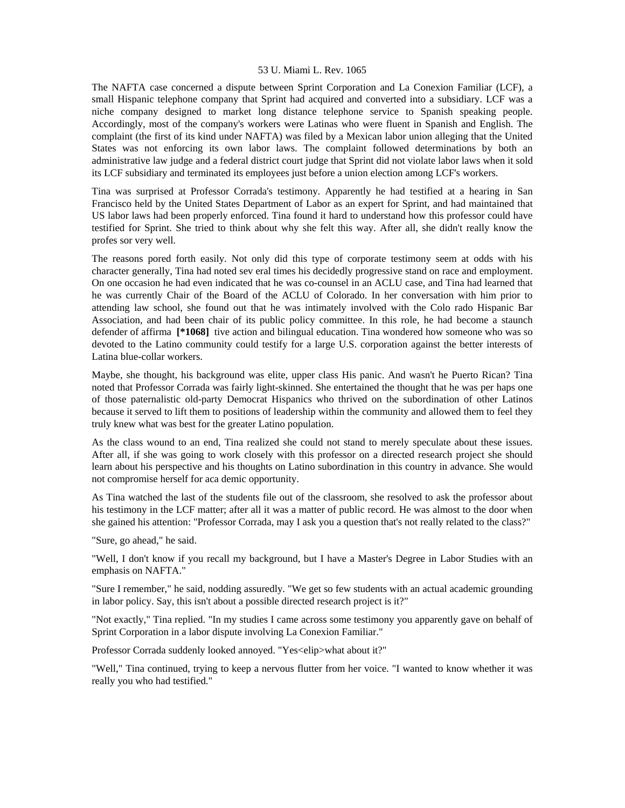The NAFTA case concerned a dispute between Sprint Corporation and La Conexion Familiar (LCF), a small Hispanic telephone company that Sprint had acquired and converted into a subsidiary. LCF was a niche company designed to market long distance telephone service to Spanish speaking people. Accordingly, most of the company's workers were Latinas who were fluent in Spanish and English. The complaint (the first of its kind under NAFTA) was filed by a Mexican labor union alleging that the United States was not enforcing its own labor laws. The complaint followed determinations by both an administrative law judge and a federal district court judge that Sprint did not violate labor laws when it sold its LCF subsidiary and terminated its employees just before a union election among LCF's workers.

Tina was surprised at Professor Corrada's testimony. Apparently he had testified at a hearing in San Francisco held by the United States Department of Labor as an expert for Sprint, and had maintained that US labor laws had been properly enforced. Tina found it hard to understand how this professor could have testified for Sprint. She tried to think about why she felt this way. After all, she didn't really know the profes sor very well.

The reasons pored forth easily. Not only did this type of corporate testimony seem at odds with his character generally, Tina had noted sev eral times his decidedly progressive stand on race and employment. On one occasion he had even indicated that he was co-counsel in an ACLU case, and Tina had learned that he was currently Chair of the Board of the ACLU of Colorado. In her conversation with him prior to attending law school, she found out that he was intimately involved with the Colo rado Hispanic Bar Association, and had been chair of its public policy committee. In this role, he had become a staunch defender of affirma **[\*1068]** tive action and bilingual education. Tina wondered how someone who was so devoted to the Latino community could testify for a large U.S. corporation against the better interests of Latina blue-collar workers.

Maybe, she thought, his background was elite, upper class His panic. And wasn't he Puerto Rican? Tina noted that Professor Corrada was fairly light-skinned. She entertained the thought that he was per haps one of those paternalistic old-party Democrat Hispanics who thrived on the subordination of other Latinos because it served to lift them to positions of leadership within the community and allowed them to feel they truly knew what was best for the greater Latino population.

As the class wound to an end, Tina realized she could not stand to merely speculate about these issues. After all, if she was going to work closely with this professor on a directed research project she should learn about his perspective and his thoughts on Latino subordination in this country in advance. She would not compromise herself for aca demic opportunity.

As Tina watched the last of the students file out of the classroom, she resolved to ask the professor about his testimony in the LCF matter; after all it was a matter of public record. He was almost to the door when she gained his attention: "Professor Corrada, may I ask you a question that's not really related to the class?"

"Sure, go ahead," he said.

"Well, I don't know if you recall my background, but I have a Master's Degree in Labor Studies with an emphasis on NAFTA."

"Sure I remember," he said, nodding assuredly. "We get so few students with an actual academic grounding in labor policy. Say, this isn't about a possible directed research project is it?"

"Not exactly," Tina replied. "In my studies I came across some testimony you apparently gave on behalf of Sprint Corporation in a labor dispute involving La Conexion Familiar."

Professor Corrada suddenly looked annoyed. "Yes<elip>what about it?"

"Well," Tina continued, trying to keep a nervous flutter from her voice. "I wanted to know whether it was really you who had testified."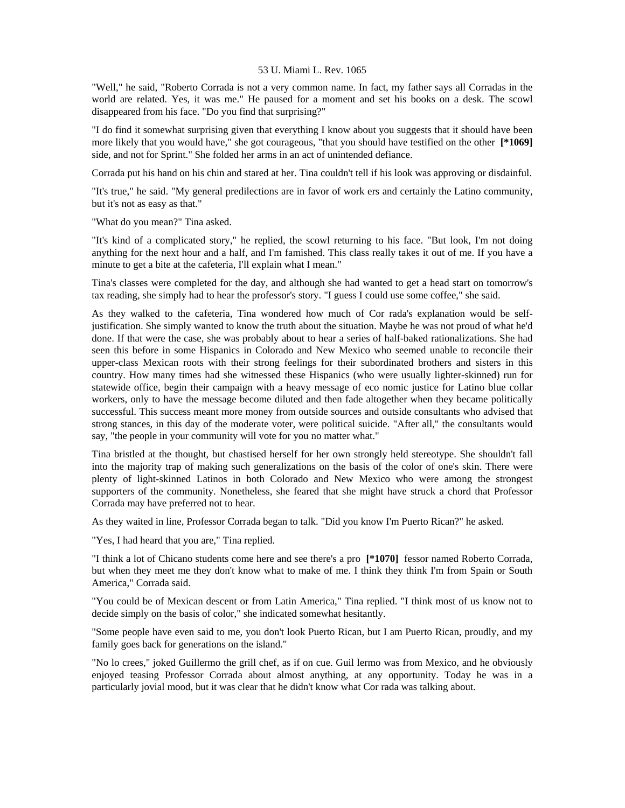"Well," he said, "Roberto Corrada is not a very common name. In fact, my father says all Corradas in the world are related. Yes, it was me." He paused for a moment and set his books on a desk. The scowl disappeared from his face. "Do you find that surprising?"

"I do find it somewhat surprising given that everything I know about you suggests that it should have been more likely that you would have," she got courageous, "that you should have testified on the other **[\*1069]**  side, and not for Sprint." She folded her arms in an act of unintended defiance.

Corrada put his hand on his chin and stared at her. Tina couldn't tell if his look was approving or disdainful.

"It's true," he said. "My general predilections are in favor of work ers and certainly the Latino community, but it's not as easy as that."

"What do you mean?" Tina asked.

"It's kind of a complicated story," he replied, the scowl returning to his face. "But look, I'm not doing anything for the next hour and a half, and I'm famished. This class really takes it out of me. If you have a minute to get a bite at the cafeteria, I'll explain what I mean."

Tina's classes were completed for the day, and although she had wanted to get a head start on tomorrow's tax reading, she simply had to hear the professor's story. "I guess I could use some coffee," she said.

As they walked to the cafeteria, Tina wondered how much of Cor rada's explanation would be selfjustification. She simply wanted to know the truth about the situation. Maybe he was not proud of what he'd done. If that were the case, she was probably about to hear a series of half-baked rationalizations. She had seen this before in some Hispanics in Colorado and New Mexico who seemed unable to reconcile their upper-class Mexican roots with their strong feelings for their subordinated brothers and sisters in this country. How many times had she witnessed these Hispanics (who were usually lighter-skinned) run for statewide office, begin their campaign with a heavy message of eco nomic justice for Latino blue collar workers, only to have the message become diluted and then fade altogether when they became politically successful. This success meant more money from outside sources and outside consultants who advised that strong stances, in this day of the moderate voter, were political suicide. "After all," the consultants would say, "the people in your community will vote for you no matter what."

Tina bristled at the thought, but chastised herself for her own strongly held stereotype. She shouldn't fall into the majority trap of making such generalizations on the basis of the color of one's skin. There were plenty of light-skinned Latinos in both Colorado and New Mexico who were among the strongest supporters of the community. Nonetheless, she feared that she might have struck a chord that Professor Corrada may have preferred not to hear.

As they waited in line, Professor Corrada began to talk. "Did you know I'm Puerto Rican?" he asked.

"Yes, I had heard that you are," Tina replied.

"I think a lot of Chicano students come here and see there's a pro **[\*1070]** fessor named Roberto Corrada, but when they meet me they don't know what to make of me. I think they think I'm from Spain or South America," Corrada said.

"You could be of Mexican descent or from Latin America," Tina replied. "I think most of us know not to decide simply on the basis of color," she indicated somewhat hesitantly.

"Some people have even said to me, you don't look Puerto Rican, but I am Puerto Rican, proudly, and my family goes back for generations on the island."

"No lo crees," joked Guillermo the grill chef, as if on cue. Guil lermo was from Mexico, and he obviously enjoyed teasing Professor Corrada about almost anything, at any opportunity. Today he was in a particularly jovial mood, but it was clear that he didn't know what Cor rada was talking about.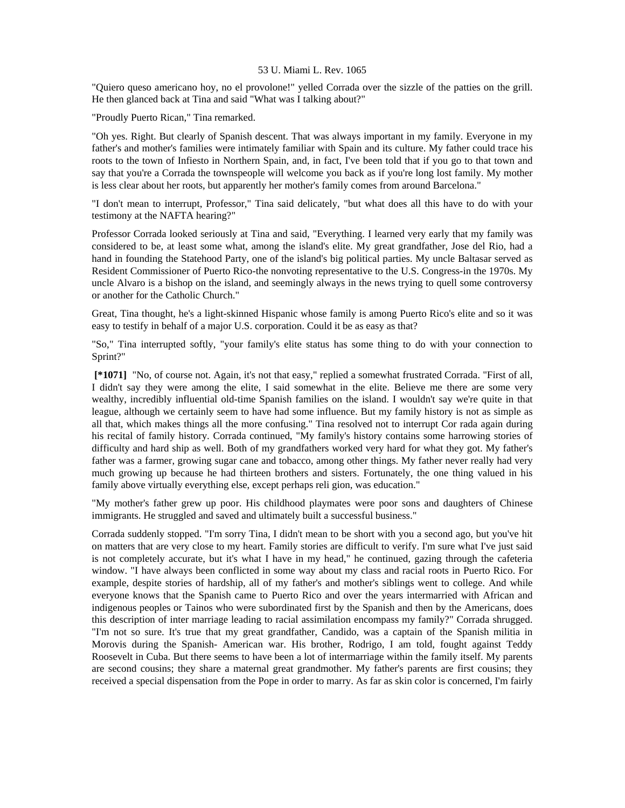"Quiero queso americano hoy, no el provolone!" yelled Corrada over the sizzle of the patties on the grill. He then glanced back at Tina and said "What was I talking about?"

"Proudly Puerto Rican," Tina remarked.

"Oh yes. Right. But clearly of Spanish descent. That was always important in my family. Everyone in my father's and mother's families were intimately familiar with Spain and its culture. My father could trace his roots to the town of Infiesto in Northern Spain, and, in fact, I've been told that if you go to that town and say that you're a Corrada the townspeople will welcome you back as if you're long lost family. My mother is less clear about her roots, but apparently her mother's family comes from around Barcelona."

"I don't mean to interrupt, Professor," Tina said delicately, "but what does all this have to do with your testimony at the NAFTA hearing?"

Professor Corrada looked seriously at Tina and said, "Everything. I learned very early that my family was considered to be, at least some what, among the island's elite. My great grandfather, Jose del Rio, had a hand in founding the Statehood Party, one of the island's big political parties. My uncle Baltasar served as Resident Commissioner of Puerto Rico-the nonvoting representative to the U.S. Congress-in the 1970s. My uncle Alvaro is a bishop on the island, and seemingly always in the news trying to quell some controversy or another for the Catholic Church."

Great, Tina thought, he's a light-skinned Hispanic whose family is among Puerto Rico's elite and so it was easy to testify in behalf of a major U.S. corporation. Could it be as easy as that?

"So," Tina interrupted softly, "your family's elite status has some thing to do with your connection to Sprint?"

 **[\*1071]** "No, of course not. Again, it's not that easy," replied a somewhat frustrated Corrada. "First of all, I didn't say they were among the elite, I said somewhat in the elite. Believe me there are some very wealthy, incredibly influential old-time Spanish families on the island. I wouldn't say we're quite in that league, although we certainly seem to have had some influence. But my family history is not as simple as all that, which makes things all the more confusing." Tina resolved not to interrupt Cor rada again during his recital of family history. Corrada continued, "My family's history contains some harrowing stories of difficulty and hard ship as well. Both of my grandfathers worked very hard for what they got. My father's father was a farmer, growing sugar cane and tobacco, among other things. My father never really had very much growing up because he had thirteen brothers and sisters. Fortunately, the one thing valued in his family above virtually everything else, except perhaps reli gion, was education."

"My mother's father grew up poor. His childhood playmates were poor sons and daughters of Chinese immigrants. He struggled and saved and ultimately built a successful business."

Corrada suddenly stopped. "I'm sorry Tina, I didn't mean to be short with you a second ago, but you've hit on matters that are very close to my heart. Family stories are difficult to verify. I'm sure what I've just said is not completely accurate, but it's what I have in my head," he continued, gazing through the cafeteria window. "I have always been conflicted in some way about my class and racial roots in Puerto Rico. For example, despite stories of hardship, all of my father's and mother's siblings went to college. And while everyone knows that the Spanish came to Puerto Rico and over the years intermarried with African and indigenous peoples or Tainos who were subordinated first by the Spanish and then by the Americans, does this description of inter marriage leading to racial assimilation encompass my family?" Corrada shrugged. "I'm not so sure. It's true that my great grandfather, Candido, was a captain of the Spanish militia in Morovis during the Spanish- American war. His brother, Rodrigo, I am told, fought against Teddy Roosevelt in Cuba. But there seems to have been a lot of intermarriage within the family itself. My parents are second cousins; they share a maternal great grandmother. My father's parents are first cousins; they received a special dispensation from the Pope in order to marry. As far as skin color is concerned, I'm fairly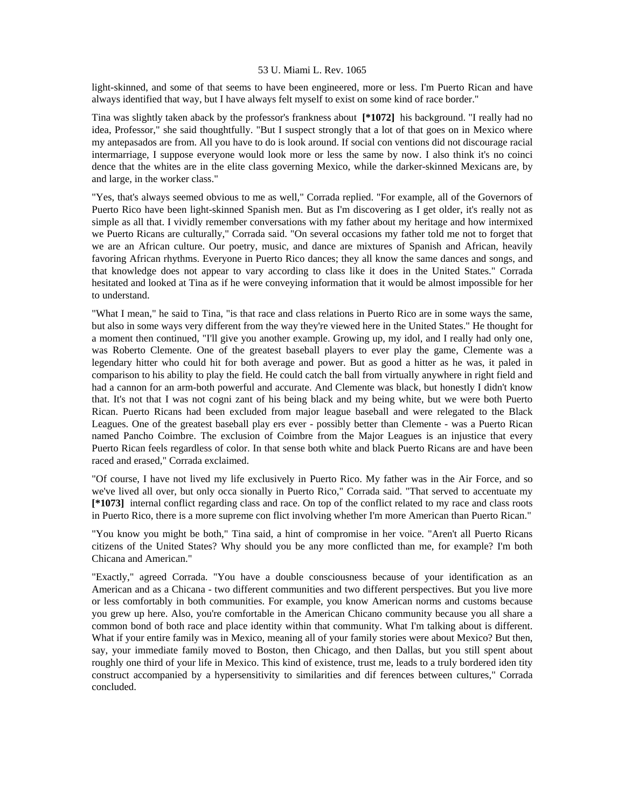light-skinned, and some of that seems to have been engineered, more or less. I'm Puerto Rican and have always identified that way, but I have always felt myself to exist on some kind of race border."

Tina was slightly taken aback by the professor's frankness about **[\*1072]** his background. "I really had no idea, Professor," she said thoughtfully. "But I suspect strongly that a lot of that goes on in Mexico where my antepasados are from. All you have to do is look around. If social con ventions did not discourage racial intermarriage, I suppose everyone would look more or less the same by now. I also think it's no coinci dence that the whites are in the elite class governing Mexico, while the darker-skinned Mexicans are, by and large, in the worker class."

"Yes, that's always seemed obvious to me as well," Corrada replied. "For example, all of the Governors of Puerto Rico have been light-skinned Spanish men. But as I'm discovering as I get older, it's really not as simple as all that. I vividly remember conversations with my father about my heritage and how intermixed we Puerto Ricans are culturally," Corrada said. "On several occasions my father told me not to forget that we are an African culture. Our poetry, music, and dance are mixtures of Spanish and African, heavily favoring African rhythms. Everyone in Puerto Rico dances; they all know the same dances and songs, and that knowledge does not appear to vary according to class like it does in the United States." Corrada hesitated and looked at Tina as if he were conveying information that it would be almost impossible for her to understand.

"What I mean," he said to Tina, "is that race and class relations in Puerto Rico are in some ways the same, but also in some ways very different from the way they're viewed here in the United States." He thought for a moment then continued, "I'll give you another example. Growing up, my idol, and I really had only one, was Roberto Clemente. One of the greatest baseball players to ever play the game, Clemente was a legendary hitter who could hit for both average and power. But as good a hitter as he was, it paled in comparison to his ability to play the field. He could catch the ball from virtually anywhere in right field and had a cannon for an arm-both powerful and accurate. And Clemente was black, but honestly I didn't know that. It's not that I was not cogni zant of his being black and my being white, but we were both Puerto Rican. Puerto Ricans had been excluded from major league baseball and were relegated to the Black Leagues. One of the greatest baseball play ers ever - possibly better than Clemente - was a Puerto Rican named Pancho Coimbre. The exclusion of Coimbre from the Major Leagues is an injustice that every Puerto Rican feels regardless of color. In that sense both white and black Puerto Ricans are and have been raced and erased," Corrada exclaimed.

"Of course, I have not lived my life exclusively in Puerto Rico. My father was in the Air Force, and so we've lived all over, but only occa sionally in Puerto Rico," Corrada said. "That served to accentuate my **[\*1073]** internal conflict regarding class and race. On top of the conflict related to my race and class roots in Puerto Rico, there is a more supreme con flict involving whether I'm more American than Puerto Rican."

"You know you might be both," Tina said, a hint of compromise in her voice. "Aren't all Puerto Ricans citizens of the United States? Why should you be any more conflicted than me, for example? I'm both Chicana and American."

"Exactly," agreed Corrada. "You have a double consciousness because of your identification as an American and as a Chicana - two different communities and two different perspectives. But you live more or less comfortably in both communities. For example, you know American norms and customs because you grew up here. Also, you're comfortable in the American Chicano community because you all share a common bond of both race and place identity within that community. What I'm talking about is different. What if your entire family was in Mexico, meaning all of your family stories were about Mexico? But then, say, your immediate family moved to Boston, then Chicago, and then Dallas, but you still spent about roughly one third of your life in Mexico. This kind of existence, trust me, leads to a truly bordered iden tity construct accompanied by a hypersensitivity to similarities and dif ferences between cultures," Corrada concluded.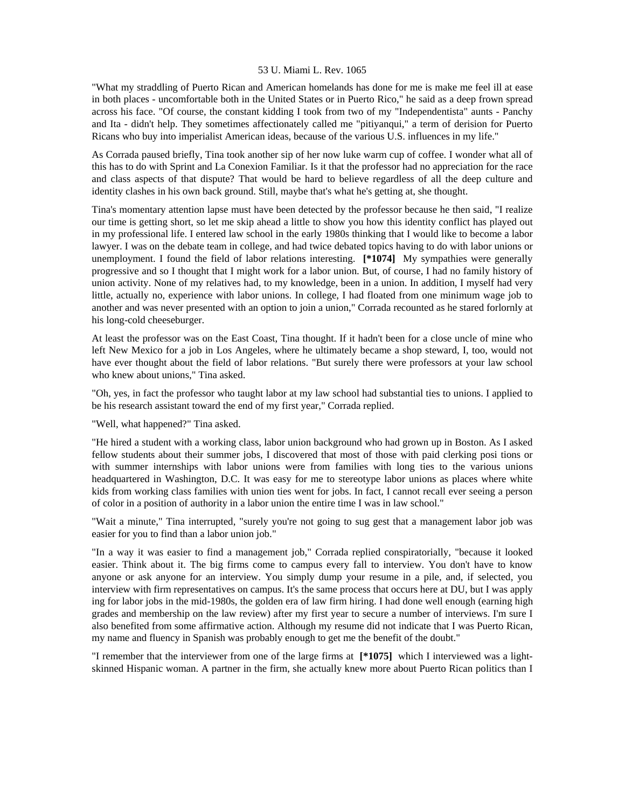"What my straddling of Puerto Rican and American homelands has done for me is make me feel ill at ease in both places - uncomfortable both in the United States or in Puerto Rico," he said as a deep frown spread across his face. "Of course, the constant kidding I took from two of my "Independentista" aunts - Panchy and Ita - didn't help. They sometimes affectionately called me "pitiyanqui," a term of derision for Puerto Ricans who buy into imperialist American ideas, because of the various U.S. influences in my life."

As Corrada paused briefly, Tina took another sip of her now luke warm cup of coffee. I wonder what all of this has to do with Sprint and La Conexion Familiar. Is it that the professor had no appreciation for the race and class aspects of that dispute? That would be hard to believe regardless of all the deep culture and identity clashes in his own back ground. Still, maybe that's what he's getting at, she thought.

Tina's momentary attention lapse must have been detected by the professor because he then said, "I realize our time is getting short, so let me skip ahead a little to show you how this identity conflict has played out in my professional life. I entered law school in the early 1980s thinking that I would like to become a labor lawyer. I was on the debate team in college, and had twice debated topics having to do with labor unions or unemployment. I found the field of labor relations interesting. **[\*1074]** My sympathies were generally progressive and so I thought that I might work for a labor union. But, of course, I had no family history of union activity. None of my relatives had, to my knowledge, been in a union. In addition, I myself had very little, actually no, experience with labor unions. In college, I had floated from one minimum wage job to another and was never presented with an option to join a union," Corrada recounted as he stared forlornly at his long-cold cheeseburger.

At least the professor was on the East Coast, Tina thought. If it hadn't been for a close uncle of mine who left New Mexico for a job in Los Angeles, where he ultimately became a shop steward, I, too, would not have ever thought about the field of labor relations. "But surely there were professors at your law school who knew about unions," Tina asked.

"Oh, yes, in fact the professor who taught labor at my law school had substantial ties to unions. I applied to be his research assistant toward the end of my first year," Corrada replied.

"Well, what happened?" Tina asked.

"He hired a student with a working class, labor union background who had grown up in Boston. As I asked fellow students about their summer jobs, I discovered that most of those with paid clerking posi tions or with summer internships with labor unions were from families with long ties to the various unions headquartered in Washington, D.C. It was easy for me to stereotype labor unions as places where white kids from working class families with union ties went for jobs. In fact, I cannot recall ever seeing a person of color in a position of authority in a labor union the entire time I was in law school."

"Wait a minute," Tina interrupted, "surely you're not going to sug gest that a management labor job was easier for you to find than a labor union job."

"In a way it was easier to find a management job," Corrada replied conspiratorially, "because it looked easier. Think about it. The big firms come to campus every fall to interview. You don't have to know anyone or ask anyone for an interview. You simply dump your resume in a pile, and, if selected, you interview with firm representatives on campus. It's the same process that occurs here at DU, but I was apply ing for labor jobs in the mid-1980s, the golden era of law firm hiring. I had done well enough (earning high grades and membership on the law review) after my first year to secure a number of interviews. I'm sure I also benefited from some affirmative action. Although my resume did not indicate that I was Puerto Rican, my name and fluency in Spanish was probably enough to get me the benefit of the doubt."

"I remember that the interviewer from one of the large firms at **[\*1075]** which I interviewed was a lightskinned Hispanic woman. A partner in the firm, she actually knew more about Puerto Rican politics than I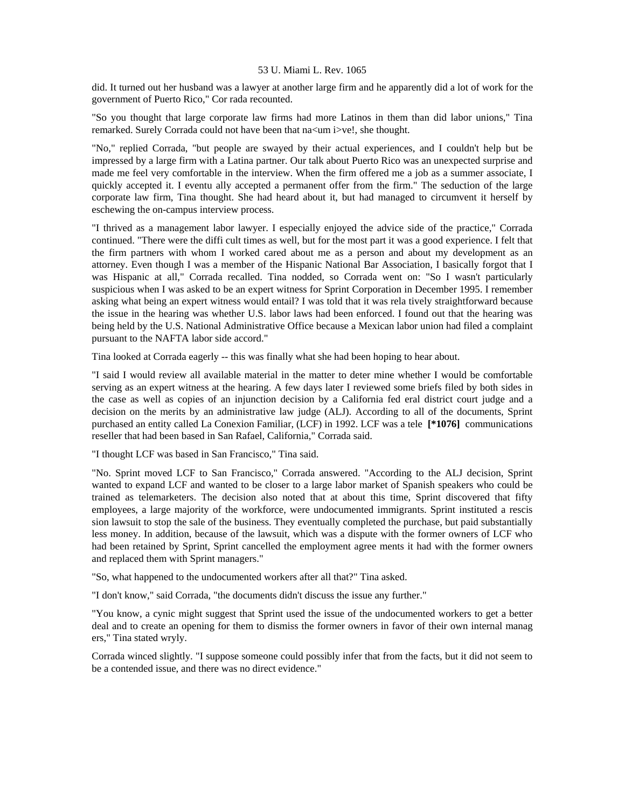did. It turned out her husband was a lawyer at another large firm and he apparently did a lot of work for the government of Puerto Rico," Cor rada recounted.

"So you thought that large corporate law firms had more Latinos in them than did labor unions," Tina remarked. Surely Corrada could not have been that na<um i>ve!, she thought.

"No," replied Corrada, "but people are swayed by their actual experiences, and I couldn't help but be impressed by a large firm with a Latina partner. Our talk about Puerto Rico was an unexpected surprise and made me feel very comfortable in the interview. When the firm offered me a job as a summer associate, I quickly accepted it. I eventu ally accepted a permanent offer from the firm." The seduction of the large corporate law firm, Tina thought. She had heard about it, but had managed to circumvent it herself by eschewing the on-campus interview process.

"I thrived as a management labor lawyer. I especially enjoyed the advice side of the practice," Corrada continued. "There were the diffi cult times as well, but for the most part it was a good experience. I felt that the firm partners with whom I worked cared about me as a person and about my development as an attorney. Even though I was a member of the Hispanic National Bar Association, I basically forgot that I was Hispanic at all," Corrada recalled. Tina nodded, so Corrada went on: "So I wasn't particularly suspicious when I was asked to be an expert witness for Sprint Corporation in December 1995. I remember asking what being an expert witness would entail? I was told that it was rela tively straightforward because the issue in the hearing was whether U.S. labor laws had been enforced. I found out that the hearing was being held by the U.S. National Administrative Office because a Mexican labor union had filed a complaint pursuant to the NAFTA labor side accord."

Tina looked at Corrada eagerly -- this was finally what she had been hoping to hear about.

"I said I would review all available material in the matter to deter mine whether I would be comfortable serving as an expert witness at the hearing. A few days later I reviewed some briefs filed by both sides in the case as well as copies of an injunction decision by a California fed eral district court judge and a decision on the merits by an administrative law judge (ALJ). According to all of the documents, Sprint purchased an entity called La Conexion Familiar, (LCF) in 1992. LCF was a tele **[\*1076]** communications reseller that had been based in San Rafael, California," Corrada said.

"I thought LCF was based in San Francisco," Tina said.

"No. Sprint moved LCF to San Francisco," Corrada answered. "According to the ALJ decision, Sprint wanted to expand LCF and wanted to be closer to a large labor market of Spanish speakers who could be trained as telemarketers. The decision also noted that at about this time, Sprint discovered that fifty employees, a large majority of the workforce, were undocumented immigrants. Sprint instituted a rescis sion lawsuit to stop the sale of the business. They eventually completed the purchase, but paid substantially less money. In addition, because of the lawsuit, which was a dispute with the former owners of LCF who had been retained by Sprint, Sprint cancelled the employment agree ments it had with the former owners and replaced them with Sprint managers."

"So, what happened to the undocumented workers after all that?" Tina asked.

"I don't know," said Corrada, "the documents didn't discuss the issue any further."

"You know, a cynic might suggest that Sprint used the issue of the undocumented workers to get a better deal and to create an opening for them to dismiss the former owners in favor of their own internal manag ers," Tina stated wryly.

Corrada winced slightly. "I suppose someone could possibly infer that from the facts, but it did not seem to be a contended issue, and there was no direct evidence."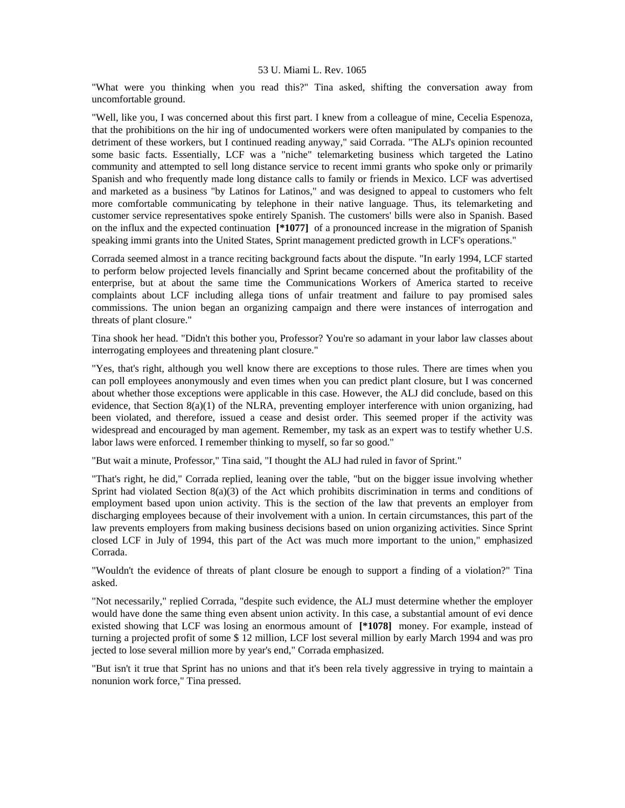"What were you thinking when you read this?" Tina asked, shifting the conversation away from uncomfortable ground.

"Well, like you, I was concerned about this first part. I knew from a colleague of mine, Cecelia Espenoza, that the prohibitions on the hir ing of undocumented workers were often manipulated by companies to the detriment of these workers, but I continued reading anyway," said Corrada. "The ALJ's opinion recounted some basic facts. Essentially, LCF was a "niche" telemarketing business which targeted the Latino community and attempted to sell long distance service to recent immi grants who spoke only or primarily Spanish and who frequently made long distance calls to family or friends in Mexico. LCF was advertised and marketed as a business "by Latinos for Latinos," and was designed to appeal to customers who felt more comfortable communicating by telephone in their native language. Thus, its telemarketing and customer service representatives spoke entirely Spanish. The customers' bills were also in Spanish. Based on the influx and the expected continuation **[\*1077]** of a pronounced increase in the migration of Spanish speaking immi grants into the United States, Sprint management predicted growth in LCF's operations."

Corrada seemed almost in a trance reciting background facts about the dispute. "In early 1994, LCF started to perform below projected levels financially and Sprint became concerned about the profitability of the enterprise, but at about the same time the Communications Workers of America started to receive complaints about LCF including allega tions of unfair treatment and failure to pay promised sales commissions. The union began an organizing campaign and there were instances of interrogation and threats of plant closure."

Tina shook her head. "Didn't this bother you, Professor? You're so adamant in your labor law classes about interrogating employees and threatening plant closure."

"Yes, that's right, although you well know there are exceptions to those rules. There are times when you can poll employees anonymously and even times when you can predict plant closure, but I was concerned about whether those exceptions were applicable in this case. However, the ALJ did conclude, based on this evidence, that Section  $8(a)(1)$  of the NLRA, preventing employer interference with union organizing, had been violated, and therefore, issued a cease and desist order. This seemed proper if the activity was widespread and encouraged by man agement. Remember, my task as an expert was to testify whether U.S. labor laws were enforced. I remember thinking to myself, so far so good."

"But wait a minute, Professor," Tina said, "I thought the ALJ had ruled in favor of Sprint."

"That's right, he did," Corrada replied, leaning over the table, "but on the bigger issue involving whether Sprint had violated Section 8(a)(3) of the Act which prohibits discrimination in terms and conditions of employment based upon union activity. This is the section of the law that prevents an employer from discharging employees because of their involvement with a union. In certain circumstances, this part of the law prevents employers from making business decisions based on union organizing activities. Since Sprint closed LCF in July of 1994, this part of the Act was much more important to the union," emphasized Corrada.

"Wouldn't the evidence of threats of plant closure be enough to support a finding of a violation?" Tina asked.

"Not necessarily," replied Corrada, "despite such evidence, the ALJ must determine whether the employer would have done the same thing even absent union activity. In this case, a substantial amount of evi dence existed showing that LCF was losing an enormous amount of **[\*1078]** money. For example, instead of turning a projected profit of some \$ 12 million, LCF lost several million by early March 1994 and was pro jected to lose several million more by year's end," Corrada emphasized.

"But isn't it true that Sprint has no unions and that it's been rela tively aggressive in trying to maintain a nonunion work force," Tina pressed.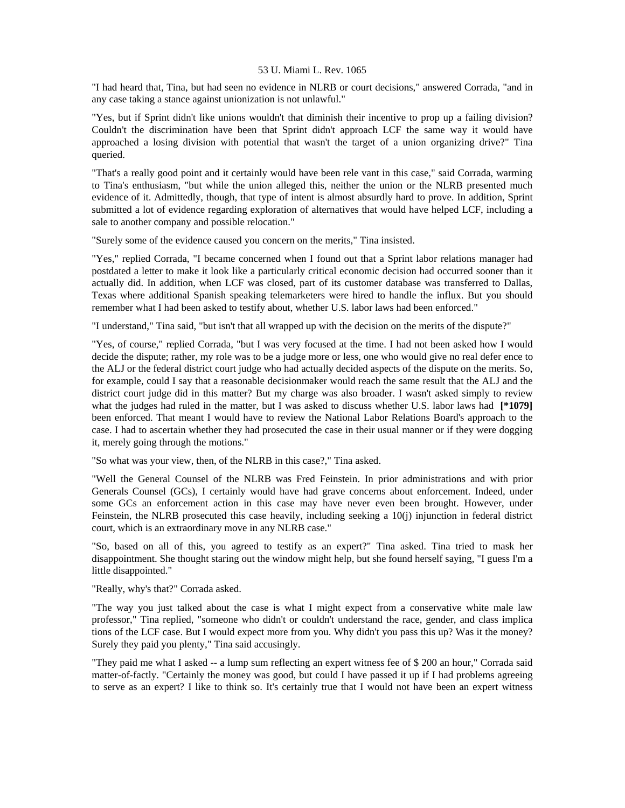"I had heard that, Tina, but had seen no evidence in NLRB or court decisions," answered Corrada, "and in any case taking a stance against unionization is not unlawful."

"Yes, but if Sprint didn't like unions wouldn't that diminish their incentive to prop up a failing division? Couldn't the discrimination have been that Sprint didn't approach LCF the same way it would have approached a losing division with potential that wasn't the target of a union organizing drive?" Tina queried.

"That's a really good point and it certainly would have been rele vant in this case," said Corrada, warming to Tina's enthusiasm, "but while the union alleged this, neither the union or the NLRB presented much evidence of it. Admittedly, though, that type of intent is almost absurdly hard to prove. In addition, Sprint submitted a lot of evidence regarding exploration of alternatives that would have helped LCF, including a sale to another company and possible relocation."

"Surely some of the evidence caused you concern on the merits," Tina insisted.

"Yes," replied Corrada, "I became concerned when I found out that a Sprint labor relations manager had postdated a letter to make it look like a particularly critical economic decision had occurred sooner than it actually did. In addition, when LCF was closed, part of its customer database was transferred to Dallas, Texas where additional Spanish speaking telemarketers were hired to handle the influx. But you should remember what I had been asked to testify about, whether U.S. labor laws had been enforced."

"I understand," Tina said, "but isn't that all wrapped up with the decision on the merits of the dispute?"

"Yes, of course," replied Corrada, "but I was very focused at the time. I had not been asked how I would decide the dispute; rather, my role was to be a judge more or less, one who would give no real defer ence to the ALJ or the federal district court judge who had actually decided aspects of the dispute on the merits. So, for example, could I say that a reasonable decisionmaker would reach the same result that the ALJ and the district court judge did in this matter? But my charge was also broader. I wasn't asked simply to review what the judges had ruled in the matter, but I was asked to discuss whether U.S. labor laws had [\*1079] been enforced. That meant I would have to review the National Labor Relations Board's approach to the case. I had to ascertain whether they had prosecuted the case in their usual manner or if they were dogging it, merely going through the motions."

"So what was your view, then, of the NLRB in this case?," Tina asked.

"Well the General Counsel of the NLRB was Fred Feinstein. In prior administrations and with prior Generals Counsel (GCs), I certainly would have had grave concerns about enforcement. Indeed, under some GCs an enforcement action in this case may have never even been brought. However, under Feinstein, the NLRB prosecuted this case heavily, including seeking a 10(j) injunction in federal district court, which is an extraordinary move in any NLRB case."

"So, based on all of this, you agreed to testify as an expert?" Tina asked. Tina tried to mask her disappointment. She thought staring out the window might help, but she found herself saying, "I guess I'm a little disappointed."

"Really, why's that?" Corrada asked.

"The way you just talked about the case is what I might expect from a conservative white male law professor," Tina replied, "someone who didn't or couldn't understand the race, gender, and class implica tions of the LCF case. But I would expect more from you. Why didn't you pass this up? Was it the money? Surely they paid you plenty," Tina said accusingly.

"They paid me what I asked -- a lump sum reflecting an expert witness fee of \$ 200 an hour," Corrada said matter-of-factly. "Certainly the money was good, but could I have passed it up if I had problems agreeing to serve as an expert? I like to think so. It's certainly true that I would not have been an expert witness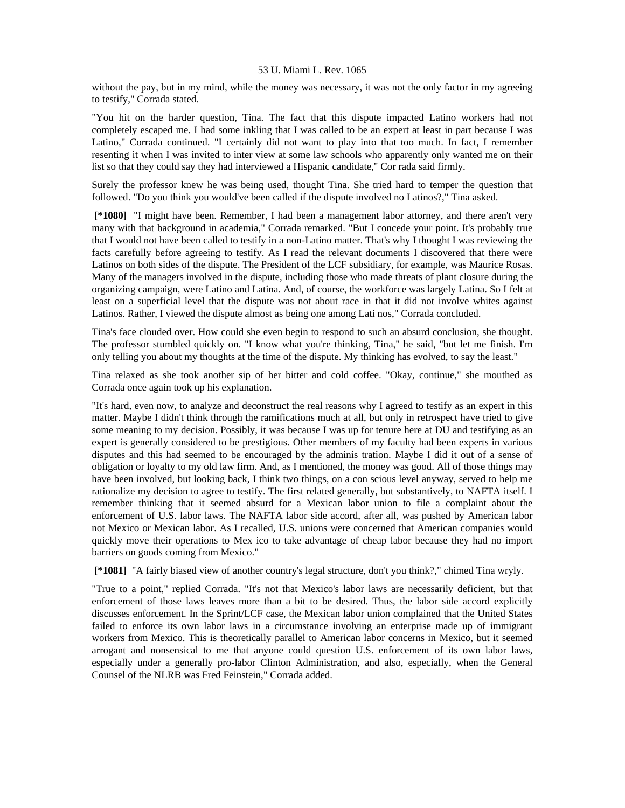without the pay, but in my mind, while the money was necessary, it was not the only factor in my agreeing to testify," Corrada stated.

"You hit on the harder question, Tina. The fact that this dispute impacted Latino workers had not completely escaped me. I had some inkling that I was called to be an expert at least in part because I was Latino," Corrada continued. "I certainly did not want to play into that too much. In fact, I remember resenting it when I was invited to inter view at some law schools who apparently only wanted me on their list so that they could say they had interviewed a Hispanic candidate," Cor rada said firmly.

Surely the professor knew he was being used, thought Tina. She tried hard to temper the question that followed. "Do you think you would've been called if the dispute involved no Latinos?," Tina asked.

 **[\*1080]** "I might have been. Remember, I had been a management labor attorney, and there aren't very many with that background in academia," Corrada remarked. "But I concede your point. It's probably true that I would not have been called to testify in a non-Latino matter. That's why I thought I was reviewing the facts carefully before agreeing to testify. As I read the relevant documents I discovered that there were Latinos on both sides of the dispute. The President of the LCF subsidiary, for example, was Maurice Rosas. Many of the managers involved in the dispute, including those who made threats of plant closure during the organizing campaign, were Latino and Latina. And, of course, the workforce was largely Latina. So I felt at least on a superficial level that the dispute was not about race in that it did not involve whites against Latinos. Rather, I viewed the dispute almost as being one among Lati nos," Corrada concluded.

Tina's face clouded over. How could she even begin to respond to such an absurd conclusion, she thought. The professor stumbled quickly on. "I know what you're thinking, Tina," he said, "but let me finish. I'm only telling you about my thoughts at the time of the dispute. My thinking has evolved, to say the least."

Tina relaxed as she took another sip of her bitter and cold coffee. "Okay, continue," she mouthed as Corrada once again took up his explanation.

"It's hard, even now, to analyze and deconstruct the real reasons why I agreed to testify as an expert in this matter. Maybe I didn't think through the ramifications much at all, but only in retrospect have tried to give some meaning to my decision. Possibly, it was because I was up for tenure here at DU and testifying as an expert is generally considered to be prestigious. Other members of my faculty had been experts in various disputes and this had seemed to be encouraged by the adminis tration. Maybe I did it out of a sense of obligation or loyalty to my old law firm. And, as I mentioned, the money was good. All of those things may have been involved, but looking back, I think two things, on a con scious level anyway, served to help me rationalize my decision to agree to testify. The first related generally, but substantively, to NAFTA itself. I remember thinking that it seemed absurd for a Mexican labor union to file a complaint about the enforcement of U.S. labor laws. The NAFTA labor side accord, after all, was pushed by American labor not Mexico or Mexican labor. As I recalled, U.S. unions were concerned that American companies would quickly move their operations to Mex ico to take advantage of cheap labor because they had no import barriers on goods coming from Mexico."

 **[\*1081]** "A fairly biased view of another country's legal structure, don't you think?," chimed Tina wryly.

"True to a point," replied Corrada. "It's not that Mexico's labor laws are necessarily deficient, but that enforcement of those laws leaves more than a bit to be desired. Thus, the labor side accord explicitly discusses enforcement. In the Sprint/LCF case, the Mexican labor union complained that the United States failed to enforce its own labor laws in a circumstance involving an enterprise made up of immigrant workers from Mexico. This is theoretically parallel to American labor concerns in Mexico, but it seemed arrogant and nonsensical to me that anyone could question U.S. enforcement of its own labor laws, especially under a generally pro-labor Clinton Administration, and also, especially, when the General Counsel of the NLRB was Fred Feinstein," Corrada added.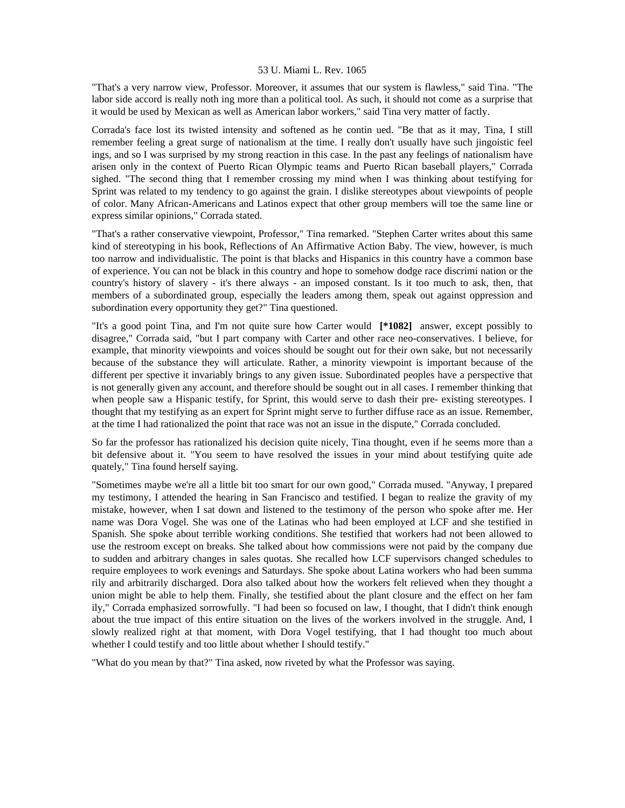"That's a very narrow view, Professor. Moreover, it assumes that our system is flawless," said Tina. "The labor side accord is really noth ing more than a political tool. As such, it should not come as a surprise that it would be used by Mexican as well as American labor workers," said Tina very matter of factly.

Corrada's face lost its twisted intensity and softened as he contin ued. "Be that as it may, Tina, I still remember feeling a great surge of nationalism at the time. I really don't usually have such jingoistic feel ings, and so I was surprised by my strong reaction in this case. In the past any feelings of nationalism have arisen only in the context of Puerto Rican Olympic teams and Puerto Rican baseball players," Corrada sighed. "The second thing that I remember crossing my mind when I was thinking about testifying for Sprint was related to my tendency to go against the grain. I dislike stereotypes about viewpoints of people of color. Many African-Americans and Latinos expect that other group members will toe the same line or express similar opinions," Corrada stated.

"That's a rather conservative viewpoint, Professor," Tina remarked. "Stephen Carter writes about this same kind of stereotyping in his book, Reflections of An Affirmative Action Baby. The view, however, is much too narrow and individualistic. The point is that blacks and Hispanics in this country have a common base of experience. You can not be black in this country and hope to somehow dodge race discrimi nation or the country's history of slavery - it's there always - an imposed constant. Is it too much to ask, then, that members of a subordinated group, especially the leaders among them, speak out against oppression and subordination every opportunity they get?" Tina questioned.

"It's a good point Tina, and I'm not quite sure how Carter would **[\*1082]** answer, except possibly to disagree," Corrada said, "but I part company with Carter and other race neo-conservatives. I believe, for example, that minority viewpoints and voices should be sought out for their own sake, but not necessarily because of the substance they will articulate. Rather, a minority viewpoint is important because of the different per spective it invariably brings to any given issue. Subordinated peoples have a perspective that is not generally given any account, and therefore should be sought out in all cases. I remember thinking that when people saw a Hispanic testify, for Sprint, this would serve to dash their pre- existing stereotypes. I thought that my testifying as an expert for Sprint might serve to further diffuse race as an issue. Remember, at the time I had rationalized the point that race was not an issue in the dispute," Corrada concluded.

So far the professor has rationalized his decision quite nicely, Tina thought, even if he seems more than a bit defensive about it. "You seem to have resolved the issues in your mind about testifying quite ade quately," Tina found herself saying.

"Sometimes maybe we're all a little bit too smart for our own good," Corrada mused. "Anyway, I prepared my testimony, I attended the hearing in San Francisco and testified. I began to realize the gravity of my mistake, however, when I sat down and listened to the testimony of the person who spoke after me. Her name was Dora Vogel. She was one of the Latinas who had been employed at LCF and she testified in Spanish. She spoke about terrible working conditions. She testified that workers had not been allowed to use the restroom except on breaks. She talked about how commissions were not paid by the company due to sudden and arbitrary changes in sales quotas. She recalled how LCF supervisors changed schedules to require employees to work evenings and Saturdays. She spoke about Latina workers who had been summa rily and arbitrarily discharged. Dora also talked about how the workers felt relieved when they thought a union might be able to help them. Finally, she testified about the plant closure and the effect on her fam ily," Corrada emphasized sorrowfully. "I had been so focused on law, I thought, that I didn't think enough about the true impact of this entire situation on the lives of the workers involved in the struggle. And, I slowly realized right at that moment, with Dora Vogel testifying, that I had thought too much about whether I could testify and too little about whether I should testify."

"What do you mean by that?" Tina asked, now riveted by what the Professor was saying.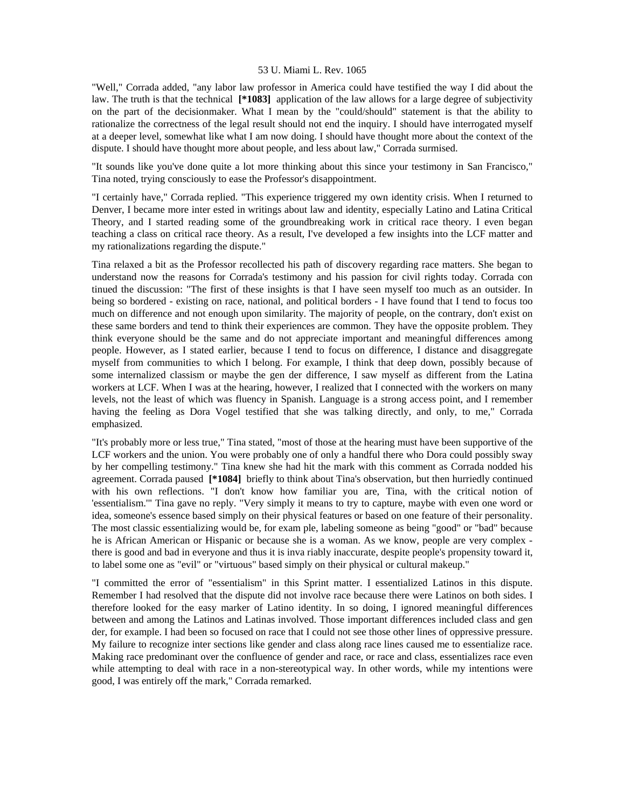"Well," Corrada added, "any labor law professor in America could have testified the way I did about the law. The truth is that the technical **[\*1083]** application of the law allows for a large degree of subjectivity on the part of the decisionmaker. What I mean by the "could/should" statement is that the ability to rationalize the correctness of the legal result should not end the inquiry. I should have interrogated myself at a deeper level, somewhat like what I am now doing. I should have thought more about the context of the dispute. I should have thought more about people, and less about law," Corrada surmised.

"It sounds like you've done quite a lot more thinking about this since your testimony in San Francisco," Tina noted, trying consciously to ease the Professor's disappointment.

"I certainly have," Corrada replied. "This experience triggered my own identity crisis. When I returned to Denver, I became more inter ested in writings about law and identity, especially Latino and Latina Critical Theory, and I started reading some of the groundbreaking work in critical race theory. I even began teaching a class on critical race theory. As a result, I've developed a few insights into the LCF matter and my rationalizations regarding the dispute."

Tina relaxed a bit as the Professor recollected his path of discovery regarding race matters. She began to understand now the reasons for Corrada's testimony and his passion for civil rights today. Corrada con tinued the discussion: "The first of these insights is that I have seen myself too much as an outsider. In being so bordered - existing on race, national, and political borders - I have found that I tend to focus too much on difference and not enough upon similarity. The majority of people, on the contrary, don't exist on these same borders and tend to think their experiences are common. They have the opposite problem. They think everyone should be the same and do not appreciate important and meaningful differences among people. However, as I stated earlier, because I tend to focus on difference, I distance and disaggregate myself from communities to which I belong. For example, I think that deep down, possibly because of some internalized classism or maybe the gen der difference, I saw myself as different from the Latina workers at LCF. When I was at the hearing, however, I realized that I connected with the workers on many levels, not the least of which was fluency in Spanish. Language is a strong access point, and I remember having the feeling as Dora Vogel testified that she was talking directly, and only, to me," Corrada emphasized.

"It's probably more or less true," Tina stated, "most of those at the hearing must have been supportive of the LCF workers and the union. You were probably one of only a handful there who Dora could possibly sway by her compelling testimony." Tina knew she had hit the mark with this comment as Corrada nodded his agreement. Corrada paused **[\*1084]** briefly to think about Tina's observation, but then hurriedly continued with his own reflections. "I don't know how familiar you are, Tina, with the critical notion of 'essentialism.'" Tina gave no reply. "Very simply it means to try to capture, maybe with even one word or idea, someone's essence based simply on their physical features or based on one feature of their personality. The most classic essentializing would be, for exam ple, labeling someone as being "good" or "bad" because he is African American or Hispanic or because she is a woman. As we know, people are very complex there is good and bad in everyone and thus it is inva riably inaccurate, despite people's propensity toward it, to label some one as "evil" or "virtuous" based simply on their physical or cultural makeup."

"I committed the error of "essentialism" in this Sprint matter. I essentialized Latinos in this dispute. Remember I had resolved that the dispute did not involve race because there were Latinos on both sides. I therefore looked for the easy marker of Latino identity. In so doing, I ignored meaningful differences between and among the Latinos and Latinas involved. Those important differences included class and gen der, for example. I had been so focused on race that I could not see those other lines of oppressive pressure. My failure to recognize inter sections like gender and class along race lines caused me to essentialize race. Making race predominant over the confluence of gender and race, or race and class, essentializes race even while attempting to deal with race in a non-stereotypical way. In other words, while my intentions were good, I was entirely off the mark," Corrada remarked.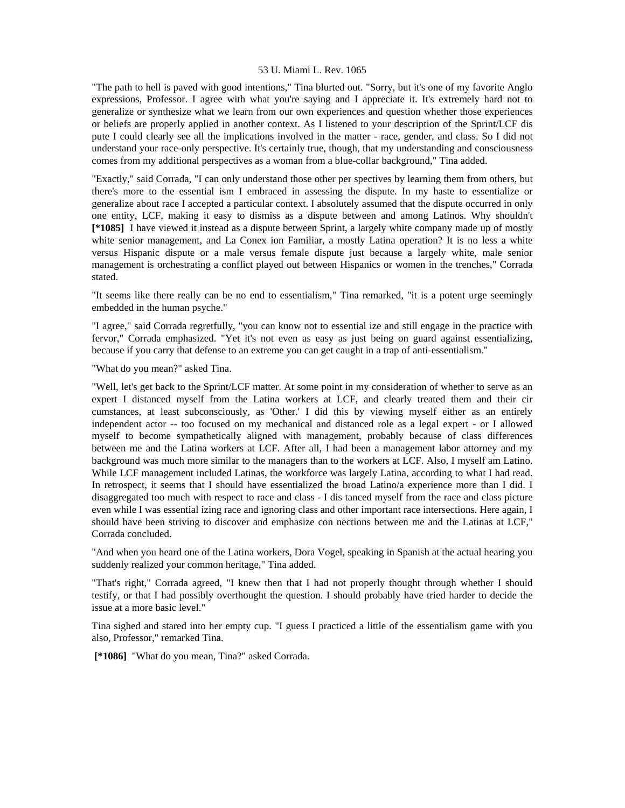"The path to hell is paved with good intentions," Tina blurted out. "Sorry, but it's one of my favorite Anglo expressions, Professor. I agree with what you're saying and I appreciate it. It's extremely hard not to generalize or synthesize what we learn from our own experiences and question whether those experiences or beliefs are properly applied in another context. As I listened to your description of the Sprint/LCF dis pute I could clearly see all the implications involved in the matter - race, gender, and class. So I did not understand your race-only perspective. It's certainly true, though, that my understanding and consciousness comes from my additional perspectives as a woman from a blue-collar background," Tina added.

"Exactly," said Corrada, "I can only understand those other per spectives by learning them from others, but there's more to the essential ism I embraced in assessing the dispute. In my haste to essentialize or generalize about race I accepted a particular context. I absolutely assumed that the dispute occurred in only one entity, LCF, making it easy to dismiss as a dispute between and among Latinos. Why shouldn't **[\*1085]** I have viewed it instead as a dispute between Sprint, a largely white company made up of mostly white senior management, and La Conex ion Familiar, a mostly Latina operation? It is no less a white versus Hispanic dispute or a male versus female dispute just because a largely white, male senior management is orchestrating a conflict played out between Hispanics or women in the trenches," Corrada stated.

"It seems like there really can be no end to essentialism," Tina remarked, "it is a potent urge seemingly embedded in the human psyche."

"I agree," said Corrada regretfully, "you can know not to essential ize and still engage in the practice with fervor," Corrada emphasized. "Yet it's not even as easy as just being on guard against essentializing, because if you carry that defense to an extreme you can get caught in a trap of anti-essentialism."

"What do you mean?" asked Tina.

"Well, let's get back to the Sprint/LCF matter. At some point in my consideration of whether to serve as an expert I distanced myself from the Latina workers at LCF, and clearly treated them and their cir cumstances, at least subconsciously, as 'Other.' I did this by viewing myself either as an entirely independent actor -- too focused on my mechanical and distanced role as a legal expert - or I allowed myself to become sympathetically aligned with management, probably because of class differences between me and the Latina workers at LCF. After all, I had been a management labor attorney and my background was much more similar to the managers than to the workers at LCF. Also, I myself am Latino. While LCF management included Latinas, the workforce was largely Latina, according to what I had read. In retrospect, it seems that I should have essentialized the broad Latino/a experience more than I did. I disaggregated too much with respect to race and class - I dis tanced myself from the race and class picture even while I was essential izing race and ignoring class and other important race intersections. Here again, I should have been striving to discover and emphasize con nections between me and the Latinas at LCF," Corrada concluded.

"And when you heard one of the Latina workers, Dora Vogel, speaking in Spanish at the actual hearing you suddenly realized your common heritage," Tina added.

"That's right," Corrada agreed, "I knew then that I had not properly thought through whether I should testify, or that I had possibly overthought the question. I should probably have tried harder to decide the issue at a more basic level."

Tina sighed and stared into her empty cup. "I guess I practiced a little of the essentialism game with you also, Professor," remarked Tina.

 **[\*1086]** "What do you mean, Tina?" asked Corrada.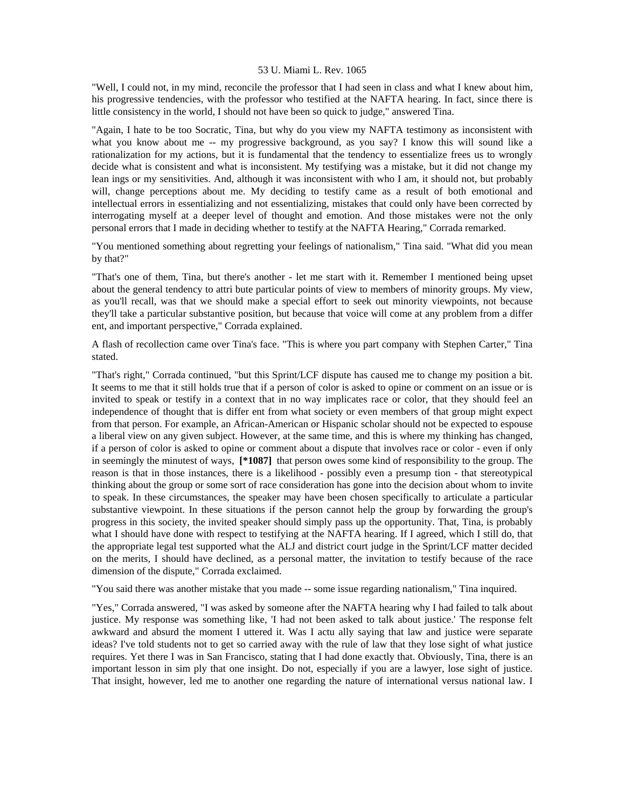"Well, I could not, in my mind, reconcile the professor that I had seen in class and what I knew about him, his progressive tendencies, with the professor who testified at the NAFTA hearing. In fact, since there is little consistency in the world, I should not have been so quick to judge," answered Tina.

"Again, I hate to be too Socratic, Tina, but why do you view my NAFTA testimony as inconsistent with what you know about me -- my progressive background, as you say? I know this will sound like a rationalization for my actions, but it is fundamental that the tendency to essentialize frees us to wrongly decide what is consistent and what is inconsistent. My testifying was a mistake, but it did not change my lean ings or my sensitivities. And, although it was inconsistent with who I am, it should not, but probably will, change perceptions about me. My deciding to testify came as a result of both emotional and intellectual errors in essentializing and not essentializing, mistakes that could only have been corrected by interrogating myself at a deeper level of thought and emotion. And those mistakes were not the only personal errors that I made in deciding whether to testify at the NAFTA Hearing," Corrada remarked.

"You mentioned something about regretting your feelings of nationalism," Tina said. "What did you mean by that?"

"That's one of them, Tina, but there's another - let me start with it. Remember I mentioned being upset about the general tendency to attri bute particular points of view to members of minority groups. My view, as you'll recall, was that we should make a special effort to seek out minority viewpoints, not because they'll take a particular substantive position, but because that voice will come at any problem from a differ ent, and important perspective," Corrada explained.

A flash of recollection came over Tina's face. "This is where you part company with Stephen Carter," Tina stated.

"That's right," Corrada continued, "but this Sprint/LCF dispute has caused me to change my position a bit. It seems to me that it still holds true that if a person of color is asked to opine or comment on an issue or is invited to speak or testify in a context that in no way implicates race or color, that they should feel an independence of thought that is differ ent from what society or even members of that group might expect from that person. For example, an African-American or Hispanic scholar should not be expected to espouse a liberal view on any given subject. However, at the same time, and this is where my thinking has changed, if a person of color is asked to opine or comment about a dispute that involves race or color - even if only in seemingly the minutest of ways, **[\*1087]** that person owes some kind of responsibility to the group. The reason is that in those instances, there is a likelihood - possibly even a presump tion - that stereotypical thinking about the group or some sort of race consideration has gone into the decision about whom to invite to speak. In these circumstances, the speaker may have been chosen specifically to articulate a particular substantive viewpoint. In these situations if the person cannot help the group by forwarding the group's progress in this society, the invited speaker should simply pass up the opportunity. That, Tina, is probably what I should have done with respect to testifying at the NAFTA hearing. If I agreed, which I still do, that the appropriate legal test supported what the ALJ and district court judge in the Sprint/LCF matter decided on the merits, I should have declined, as a personal matter, the invitation to testify because of the race dimension of the dispute," Corrada exclaimed.

"You said there was another mistake that you made -- some issue regarding nationalism," Tina inquired.

"Yes," Corrada answered, "I was asked by someone after the NAFTA hearing why I had failed to talk about justice. My response was something like, 'I had not been asked to talk about justice.' The response felt awkward and absurd the moment I uttered it. Was I actu ally saying that law and justice were separate ideas? I've told students not to get so carried away with the rule of law that they lose sight of what justice requires. Yet there I was in San Francisco, stating that I had done exactly that. Obviously, Tina, there is an important lesson in sim ply that one insight. Do not, especially if you are a lawyer, lose sight of justice. That insight, however, led me to another one regarding the nature of international versus national law. I